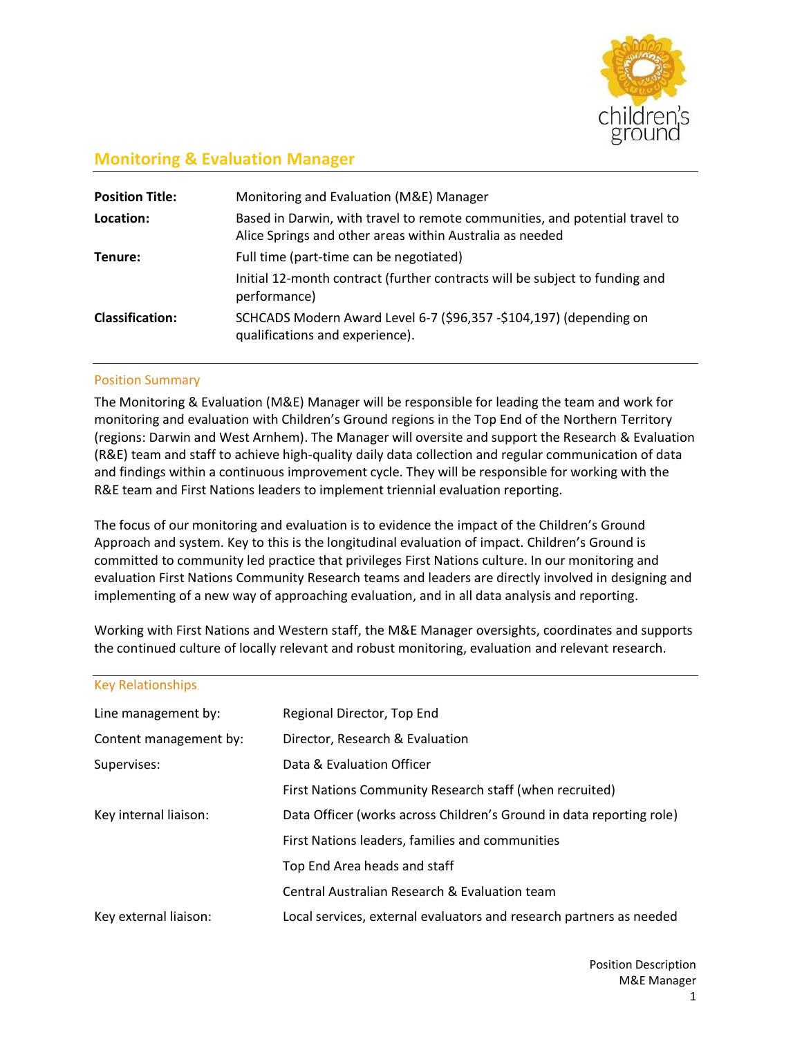

# **Monitoring & Evaluation Manager**

| <b>Position Title:</b> | Monitoring and Evaluation (M&E) Manager                                                                                                 |
|------------------------|-----------------------------------------------------------------------------------------------------------------------------------------|
| Location:              | Based in Darwin, with travel to remote communities, and potential travel to<br>Alice Springs and other areas within Australia as needed |
| Tenure:                | Full time (part-time can be negotiated)                                                                                                 |
|                        | Initial 12-month contract (further contracts will be subject to funding and<br>performance)                                             |
| <b>Classification:</b> | SCHCADS Modern Award Level 6-7 (\$96,357 -\$104,197) (depending on<br>qualifications and experience).                                   |

## Position Summary

The Monitoring & Evaluation (M&E) Manager will be responsible for leading the team and work for monitoring and evaluation with Children's Ground regions in the Top End of the Northern Territory (regions: Darwin and West Arnhem). The Manager will oversite and support the Research & Evaluation (R&E) team and staff to achieve high-quality daily data collection and regular communication of data and findings within a continuous improvement cycle. They will be responsible for working with the R&E team and First Nations leaders to implement triennial evaluation reporting.

The focus of our monitoring and evaluation is to evidence the impact of the Children's Ground Approach and system. Key to this is the longitudinal evaluation of impact. Children's Ground is committed to community led practice that privileges First Nations culture. In our monitoring and evaluation First Nations Community Research teams and leaders are directly involved in designing and implementing of a new way of approaching evaluation, and in all data analysis and reporting.

Working with First Nations and Western staff, the M&E Manager oversights, coordinates and supports the continued culture of locally relevant and robust monitoring, evaluation and relevant research.

| <b>Key Relationships</b> |                                                                      |
|--------------------------|----------------------------------------------------------------------|
| Line management by:      | Regional Director, Top End                                           |
| Content management by:   | Director, Research & Evaluation                                      |
| Supervises:              | Data & Evaluation Officer                                            |
|                          | First Nations Community Research staff (when recruited)              |
| Key internal liaison:    | Data Officer (works across Children's Ground in data reporting role) |
|                          | First Nations leaders, families and communities                      |
|                          | Top End Area heads and staff                                         |
|                          | Central Australian Research & Evaluation team                        |
| Key external liaison:    | Local services, external evaluators and research partners as needed  |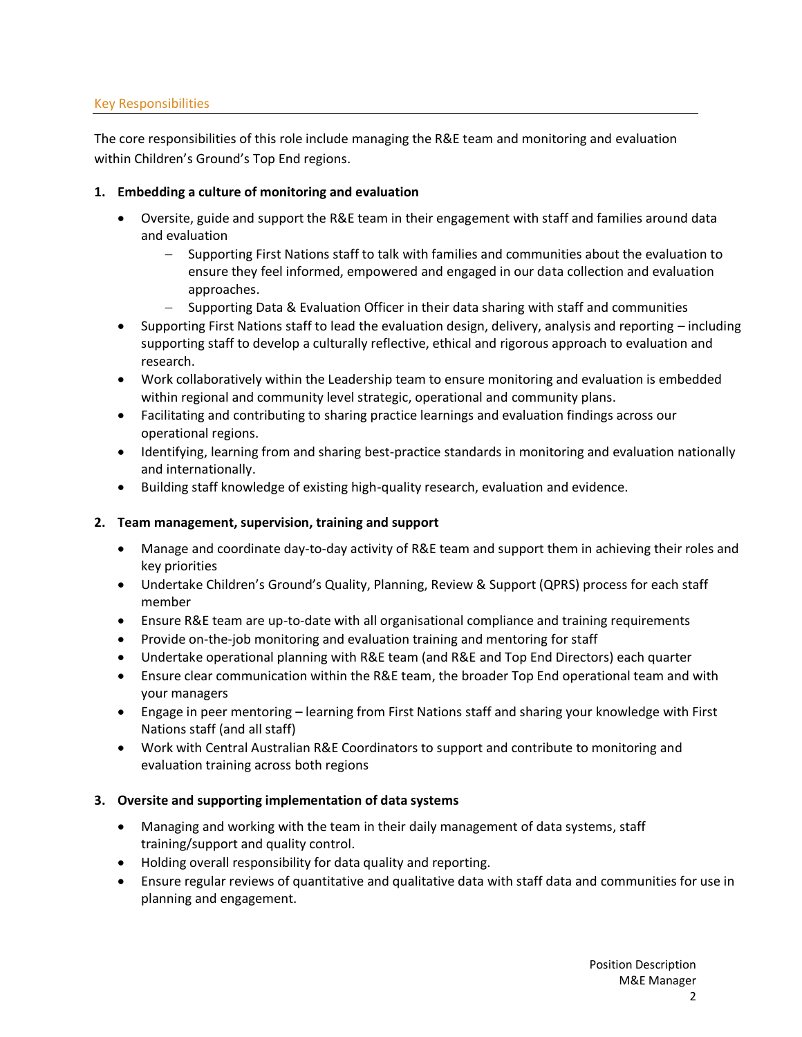### Key Responsibilities

The core responsibilities of this role include managing the R&E team and monitoring and evaluation within Children's Ground's Top End regions.

### **1. Embedding a culture of monitoring and evaluation**

- Oversite, guide and support the R&E team in their engagement with staff and families around data and evaluation
	- Supporting First Nations staff to talk with families and communities about the evaluation to ensure they feel informed, empowered and engaged in our data collection and evaluation approaches.
	- − Supporting Data & Evaluation Officer in their data sharing with staff and communities
- Supporting First Nations staff to lead the evaluation design, delivery, analysis and reporting including supporting staff to develop a culturally reflective, ethical and rigorous approach to evaluation and research.
- Work collaboratively within the Leadership team to ensure monitoring and evaluation is embedded within regional and community level strategic, operational and community plans.
- Facilitating and contributing to sharing practice learnings and evaluation findings across our operational regions.
- Identifying, learning from and sharing best-practice standards in monitoring and evaluation nationally and internationally.
- Building staff knowledge of existing high-quality research, evaluation and evidence.

### **2. Team management, supervision, training and support**

- Manage and coordinate day-to-day activity of R&E team and support them in achieving their roles and key priorities
- Undertake Children's Ground's Quality, Planning, Review & Support (QPRS) process for each staff member
- Ensure R&E team are up-to-date with all organisational compliance and training requirements
- Provide on-the-job monitoring and evaluation training and mentoring for staff
- Undertake operational planning with R&E team (and R&E and Top End Directors) each quarter
- Ensure clear communication within the R&E team, the broader Top End operational team and with your managers
- Engage in peer mentoring learning from First Nations staff and sharing your knowledge with First Nations staff (and all staff)
- Work with Central Australian R&E Coordinators to support and contribute to monitoring and evaluation training across both regions

### **3. Oversite and supporting implementation of data systems**

- Managing and working with the team in their daily management of data systems, staff training/support and quality control.
- Holding overall responsibility for data quality and reporting.
- Ensure regular reviews of quantitative and qualitative data with staff data and communities for use in planning and engagement.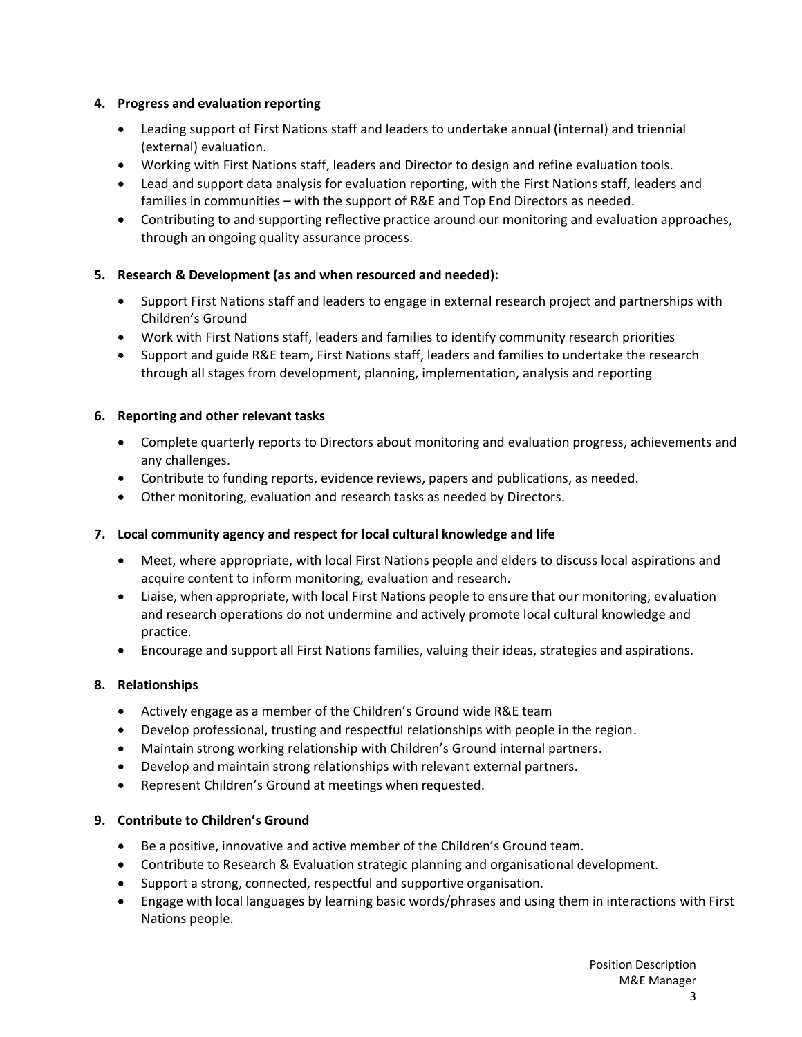### **4. Progress and evaluation reporting**

- Leading support of First Nations staff and leaders to undertake annual (internal) and triennial (external) evaluation.
- Working with First Nations staff, leaders and Director to design and refine evaluation tools.
- Lead and support data analysis for evaluation reporting, with the First Nations staff, leaders and families in communities – with the support of R&E and Top End Directors as needed.
- Contributing to and supporting reflective practice around our monitoring and evaluation approaches, through an ongoing quality assurance process.

# **5. Research & Development (as and when resourced and needed):**

- Support First Nations staff and leaders to engage in external research project and partnerships with Children's Ground
- Work with First Nations staff, leaders and families to identify community research priorities
- Support and guide R&E team, First Nations staff, leaders and families to undertake the research through all stages from development, planning, implementation, analysis and reporting

## **6. Reporting and other relevant tasks**

- Complete quarterly reports to Directors about monitoring and evaluation progress, achievements and any challenges.
- Contribute to funding reports, evidence reviews, papers and publications, as needed.
- Other monitoring, evaluation and research tasks as needed by Directors.

# **7. Local community agency and respect for local cultural knowledge and life**

- Meet, where appropriate, with local First Nations people and elders to discuss local aspirations and acquire content to inform monitoring, evaluation and research.
- Liaise, when appropriate, with local First Nations people to ensure that our monitoring, evaluation and research operations do not undermine and actively promote local cultural knowledge and practice.
- Encourage and support all First Nations families, valuing their ideas, strategies and aspirations.

# **8. Relationships**

- Actively engage as a member of the Children's Ground wide R&E team
- Develop professional, trusting and respectful relationships with people in the region.
- Maintain strong working relationship with Children's Ground internal partners.
- Develop and maintain strong relationships with relevant external partners.
- Represent Children's Ground at meetings when requested.

### **9. Contribute to Children's Ground**

- Be a positive, innovative and active member of the Children's Ground team.
- Contribute to Research & Evaluation strategic planning and organisational development.
- Support a strong, connected, respectful and supportive organisation.
- Engage with local languages by learning basic words/phrases and using them in interactions with First Nations people.